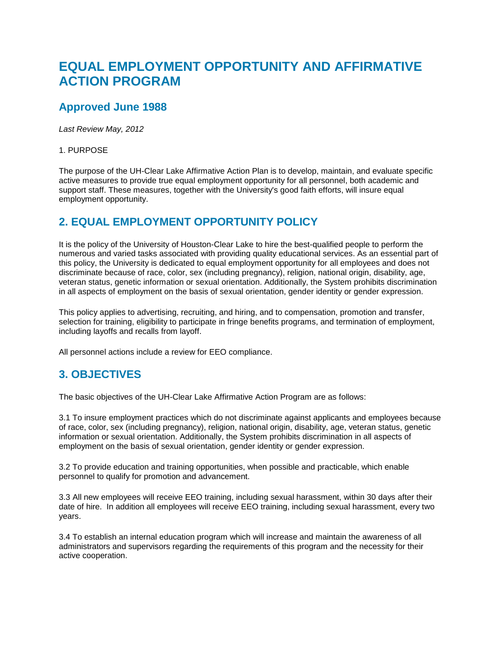## **EQUAL EMPLOYMENT OPPORTUNITY AND AFFIRMATIVE ACTION PROGRAM**

## **Approved June 1988**

*Last Review May, 2012*

1. PURPOSE

The purpose of the UH-Clear Lake Affirmative Action Plan is to develop, maintain, and evaluate specific active measures to provide true equal employment opportunity for all personnel, both academic and support staff. These measures, together with the University's good faith efforts, will insure equal employment opportunity.

## **2. EQUAL EMPLOYMENT OPPORTUNITY POLICY**

It is the policy of the University of Houston-Clear Lake to hire the best-qualified people to perform the numerous and varied tasks associated with providing quality educational services. As an essential part of this policy, the University is dedicated to equal employment opportunity for all employees and does not discriminate because of race, color, sex (including pregnancy), religion, national origin, disability, age, veteran status, genetic information or sexual orientation. Additionally, the System prohibits discrimination in all aspects of employment on the basis of sexual orientation, gender identity or gender expression.

This policy applies to advertising, recruiting, and hiring, and to compensation, promotion and transfer, selection for training, eligibility to participate in fringe benefits programs, and termination of employment, including layoffs and recalls from layoff.

All personnel actions include a review for EEO compliance.

## **3. OBJECTIVES**

The basic objectives of the UH-Clear Lake Affirmative Action Program are as follows:

3.1 To insure employment practices which do not discriminate against applicants and employees because of race, color, sex (including pregnancy), religion, national origin, disability, age, veteran status, genetic information or sexual orientation. Additionally, the System prohibits discrimination in all aspects of employment on the basis of sexual orientation, gender identity or gender expression.

3.2 To provide education and training opportunities, when possible and practicable, which enable personnel to qualify for promotion and advancement.

3.3 All new employees will receive EEO training, including sexual harassment, within 30 days after their date of hire. In addition all employees will receive EEO training, including sexual harassment, every two years.

3.4 To establish an internal education program which will increase and maintain the awareness of all administrators and supervisors regarding the requirements of this program and the necessity for their active cooperation.